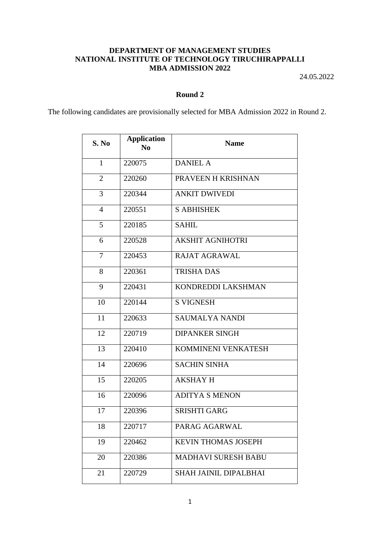## **DEPARTMENT OF MANAGEMENT STUDIES NATIONAL INSTITUTE OF TECHNOLOGY TIRUCHIRAPPALLI MBA ADMISSION 2022**

24.05.2022

## **Round 2**

The following candidates are provisionally selected for MBA Admission 2022 in Round 2.

| S. No          | <b>Application</b><br>$\bf No$ | <b>Name</b>                  |
|----------------|--------------------------------|------------------------------|
| $\mathbf{1}$   | 220075                         | <b>DANIEL A</b>              |
| $\overline{2}$ | 220260                         | PRAVEEN H KRISHNAN           |
| 3              | 220344                         | <b>ANKIT DWIVEDI</b>         |
| $\overline{4}$ | 220551                         | <b>S ABHISHEK</b>            |
| 5              | 220185                         | <b>SAHIL</b>                 |
| 6              | 220528                         | <b>AKSHIT AGNIHOTRI</b>      |
| 7              | 220453                         | <b>RAJAT AGRAWAL</b>         |
| 8              | 220361                         | <b>TRISHA DAS</b>            |
| 9              | 220431                         | KONDREDDI LAKSHMAN           |
| 10             | 220144                         | <b>S VIGNESH</b>             |
| 11             | 220633                         | <b>SAUMALYA NANDI</b>        |
| 12             | 220719                         | <b>DIPANKER SINGH</b>        |
| 13             | 220410                         | KOMMINENI VENKATESH          |
| 14             | 220696                         | <b>SACHIN SINHA</b>          |
| 15             | 220205                         | <b>AKSHAY H</b>              |
| 16             | 220096                         | <b>ADITYA S MENON</b>        |
| 17             | 220396                         | <b>SRISHTI GARG</b>          |
| 18             | 220717                         | PARAG AGARWAL                |
| 19             | 220462                         | <b>KEVIN THOMAS JOSEPH</b>   |
| 20             | 220386                         | <b>MADHAVI SURESH BABU</b>   |
| 21             | 220729                         | <b>SHAH JAINIL DIPALBHAI</b> |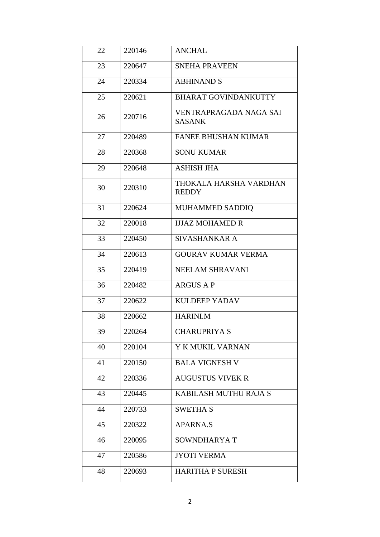| 22 | 220146 | <b>ANCHAL</b>                           |
|----|--------|-----------------------------------------|
| 23 | 220647 | <b>SNEHA PRAVEEN</b>                    |
| 24 | 220334 | <b>ABHINAND S</b>                       |
| 25 | 220621 | <b>BHARAT GOVINDANKUTTY</b>             |
| 26 | 220716 | VENTRAPRAGADA NAGA SAI<br><b>SASANK</b> |
| 27 | 220489 | <b>FANEE BHUSHAN KUMAR</b>              |
| 28 | 220368 | <b>SONU KUMAR</b>                       |
| 29 | 220648 | <b>ASHISH JHA</b>                       |
| 30 | 220310 | THOKALA HARSHA VARDHAN<br><b>REDDY</b>  |
| 31 | 220624 | MUHAMMED SADDIQ                         |
| 32 | 220018 | <b>IJJAZ MOHAMED R</b>                  |
| 33 | 220450 | SIVASHANKAR A                           |
| 34 | 220613 | <b>GOURAV KUMAR VERMA</b>               |
| 35 | 220419 | NEELAM SHRAVANI                         |
| 36 | 220482 | <b>ARGUS A P</b>                        |
| 37 | 220622 | <b>KULDEEP YADAV</b>                    |
| 38 | 220662 | <b>HARINI.M</b>                         |
| 39 | 220264 | <b>CHARUPRIYA S</b>                     |
| 40 | 220104 | Y K MUKIL VARNAN                        |
| 41 | 220150 | <b>BALA VIGNESH V</b>                   |
| 42 | 220336 | <b>AUGUSTUS VIVEK R</b>                 |
| 43 | 220445 | KABILASH MUTHU RAJA S                   |
| 44 | 220733 | <b>SWETHA S</b>                         |
| 45 | 220322 | <b>APARNA.S</b>                         |
| 46 | 220095 | SOWNDHARYAT                             |
| 47 | 220586 | <b>JYOTI VERMA</b>                      |
| 48 | 220693 | <b>HARITHA P SURESH</b>                 |
|    |        |                                         |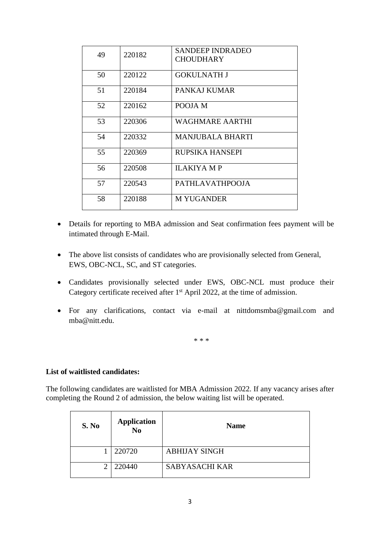| 49 | 220182 | SANDEEP INDRADEO<br><b>CHOUDHARY</b> |
|----|--------|--------------------------------------|
| 50 | 220122 | GOKULNATH J                          |
| 51 | 220184 | PANKAJ KUMAR                         |
| 52 | 220162 | POOJA M                              |
| 53 | 220306 | <b>WAGHMARE AARTHI</b>               |
| 54 | 220332 | <b>MANJUBALA BHARTI</b>              |
| 55 | 220369 | RUPSIKA HANSEPI                      |
| 56 | 220508 | <b>ILAKIYA M P</b>                   |
| 57 | 220543 | PATHLAVATHPOOJA                      |
| 58 | 220188 | <b>M YUGANDER</b>                    |

- Details for reporting to MBA admission and Seat confirmation fees payment will be intimated through E-Mail.
- The above list consists of candidates who are provisionally selected from General, EWS, OBC-NCL, SC, and ST categories.
- Candidates provisionally selected under EWS, OBC-NCL must produce their Category certificate received after 1st April 2022, at the time of admission.
- For any clarifications, contact via e-mail at [nittdomsmba@gmail.com](mailto:nittdomsmba@gmail.com) and [mba@nitt.edu.](mailto:mba@nitt.edu)

\* \* \*

## **List of waitlisted candidates:**

The following candidates are waitlisted for MBA Admission 2022. If any vacancy arises after completing the Round 2 of admission, the below waiting list will be operated.

| S. No | Application<br>No | <b>Name</b>           |
|-------|-------------------|-----------------------|
|       | 220720            | <b>ABHIJAY SINGH</b>  |
| ↑     | 220440            | <b>SABYASACHI KAR</b> |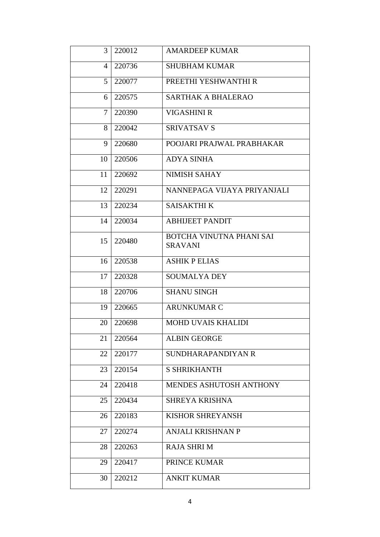| 3      | 220012 | <b>AMARDEEP KUMAR</b>                      |
|--------|--------|--------------------------------------------|
| 4      | 220736 | <b>SHUBHAM KUMAR</b>                       |
| 5      | 220077 | PREETHI YESHWANTHI R                       |
| 6      | 220575 | <b>SARTHAK A BHALERAO</b>                  |
| $\tau$ | 220390 | <b>VIGASHINI R</b>                         |
| 8      | 220042 | <b>SRIVATSAV S</b>                         |
| 9      | 220680 | POOJARI PRAJWAL PRABHAKAR                  |
| 10     | 220506 | <b>ADYA SINHA</b>                          |
| 11     | 220692 | <b>NIMISH SAHAY</b>                        |
| 12     | 220291 | NANNEPAGA VIJAYA PRIYANJALI                |
| 13     | 220234 | <b>SAISAKTHI K</b>                         |
| 14     | 220034 | <b>ABHIJEET PANDIT</b>                     |
| 15     | 220480 | BOTCHA VINUTNA PHANI SAI<br><b>SRAVANI</b> |
| 16     | 220538 | <b>ASHIK P ELIAS</b>                       |
| 17     | 220328 | <b>SOUMALYA DEY</b>                        |
| 18     | 220706 | <b>SHANU SINGH</b>                         |
| 19     | 220665 | <b>ARUNKUMAR C</b>                         |
| 20     | 220698 | MOHD UVAIS KHALIDI                         |
| 21     | 220564 | <b>ALBIN GEORGE</b>                        |
| 22     | 220177 | SUNDHARAPANDIYAN R                         |
| 23     | 220154 | <b>S SHRIKHANTH</b>                        |
| 24     | 220418 | MENDES ASHUTOSH ANTHONY                    |
| 25     | 220434 | <b>SHREYA KRISHNA</b>                      |
| 26     | 220183 | KISHOR SHREYANSH                           |
| 27     | 220274 | ANJALI KRISHNAN P                          |
| 28     | 220263 | <b>RAJA SHRI M</b>                         |
| 29     | 220417 | PRINCE KUMAR                               |
| 30     | 220212 | <b>ANKIT KUMAR</b>                         |